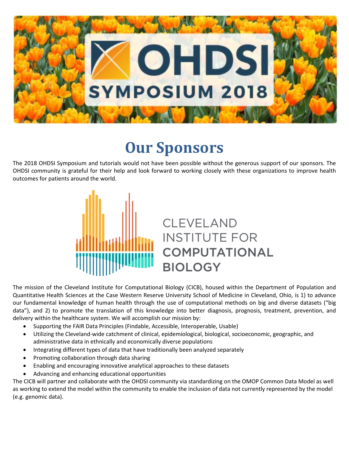

# **Our Sponsors**

The 2018 OHDSI Symposium and tutorials would not have been possible without the generous support of our sponsors. The OHDSI community is grateful for their help and look forward to working closely with these organizations to improve health outcomes for patients around the world.



The mission of the Cleveland Institute for Computational Biology (CICB), housed within the Department of Population and Quantitative Health Sciences at the Case Western Reserve University School of Medicine in Cleveland, Ohio, is 1) to advance our fundamental knowledge of human health through the use of computational methods on big and diverse datasets ("big data"), and 2) to promote the translation of this knowledge into better diagnosis, prognosis, treatment, prevention, and delivery within the healthcare system. We will accomplish our mission by:

- Supporting the FAIR Data Principles (Findable, Accessible, Interoperable, Usable)
- Utilizing the Cleveland-wide catchment of clinical, epidemiological, biological, socioeconomic, geographic, and administrative data in ethnically and economically diverse populations
- Integrating different types of data that have traditionally been analyzed separately
- Promoting collaboration through data sharing
- Enabling and encouraging innovative analytical approaches to these datasets
- Advancing and enhancing educational opportunities

The CICB will partner and collaborate with the OHDSI community via standardizing on the OMOP Common Data Model as well as working to extend the model within the community to enable the inclusion of data not currently represented by the model (e.g. genomic data).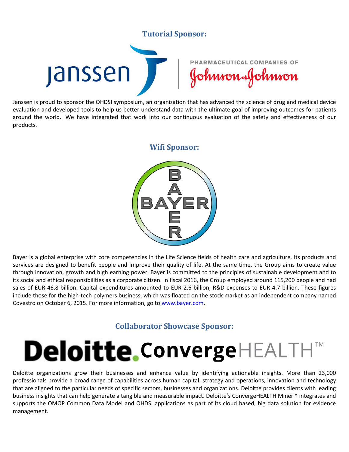## **Tutorial Sponsor:**



Janssen is proud to sponsor the OHDSI symposium, an organization that has advanced the science of drug and medical device evaluation and developed tools to help us better understand data with the ultimate goal of improving outcomes for patients around the world. We have integrated that work into our continuous evaluation of the safety and effectiveness of our products.

#### **Wifi Sponsor:**



Bayer is a global enterprise with core competencies in the Life Science fields of health care and agriculture. Its products and services are designed to benefit people and improve their quality of life. At the same time, the Group aims to create value through innovation, growth and high earning power. Bayer is committed to the principles of sustainable development and to its social and ethical responsibilities as a corporate citizen. In fiscal 2016, the Group employed around 115,200 people and had sales of EUR 46.8 billion. Capital expenditures amounted to EUR 2.6 billion, R&D expenses to EUR 4.7 billion. These figures include those for the high-tech polymers business, which was floated on the stock market as an independent company named Covestro on October 6, 2015. For more information, go to [www.bayer.com.](http://www.bayer.com/)

### **Collaborator Showcase Sponsor:**

# **Deloitte.ConvergeHEALTHT**

Deloitte organizations grow their businesses and enhance value by identifying actionable insights. More than 23,000 professionals provide a broad range of capabilities across human capital, strategy and operations, innovation and technology that are aligned to the particular needs of specific sectors, businesses and organizations. Deloitte provides clients with leading business insights that can help generate a tangible and measurable impact. Deloitte's ConvergeHEALTH Miner™ integrates and supports the OMOP Common Data Model and OHDSI applications as part of its cloud based, big data solution for evidence management.